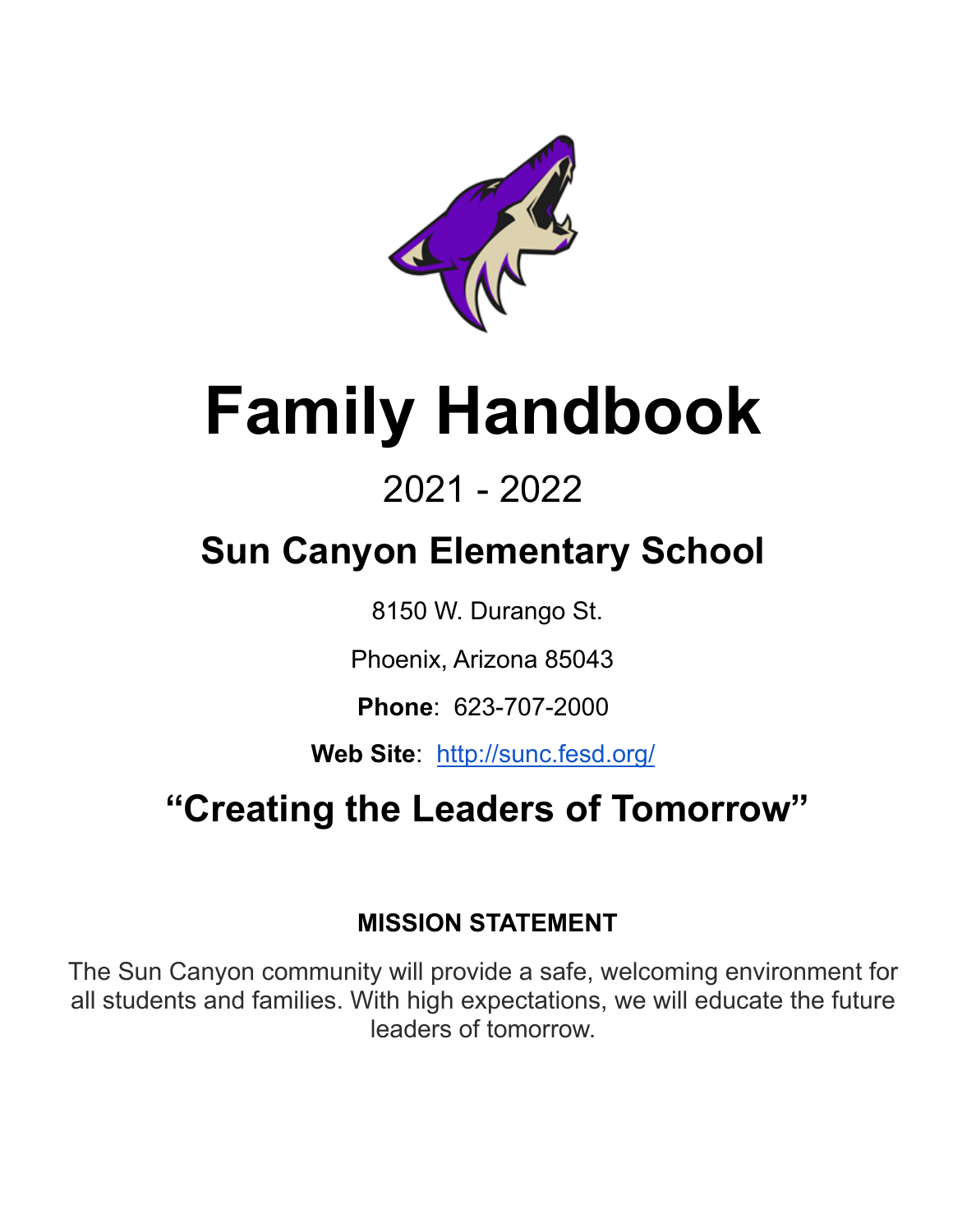

# **Family Handbook**

# 2021 - 2022

# **Sun Canyon Elementary School**

8150 W. Durango St.

Phoenix, Arizona 85043

**Phone**: 623-707-2000

**Web Site**: <http://sunc.fesd.org/>

# **"Creating the Leaders of Tomorrow"**

# **MISSION STATEMENT**

 The Sun Canyon community will provide a safe, welcoming environment for all students and families. With high expectations, we will educate the future leaders of tomorrow.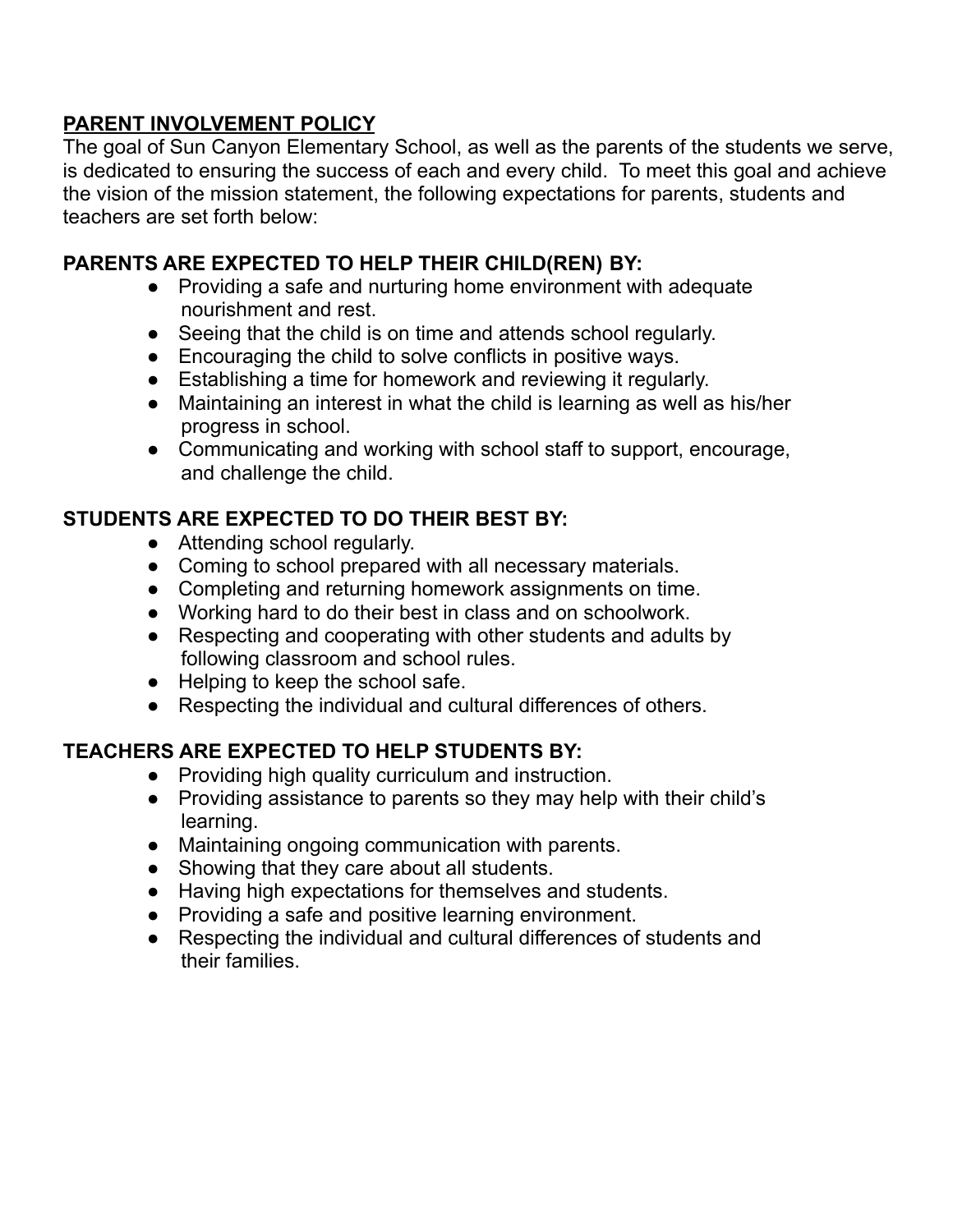### **PARENT INVOLVEMENT POLICY**

 The goal of Sun Canyon Elementary School, as well as the parents of the students we serve, is dedicated to ensuring the success of each and every child. To meet this goal and achieve the vision of the mission statement, the following expectations for parents, students and teachers are set forth below:

## **PARENTS ARE EXPECTED TO HELP THEIR CHILD(REN) BY:**

- ● Providing a safe and nurturing home environment with adequate nourishment and rest.
- Seeing that the child is on time and attends school regularly.
- Encouraging the child to solve conflicts in positive ways.
- Establishing a time for homework and reviewing it regularly.
- ● Maintaining an interest in what the child is learning as well as his/her progress in school.
- ● Communicating and working with school staff to support, encourage, and challenge the child.

### **STUDENTS ARE EXPECTED TO DO THEIR BEST BY:**

- Attending school regularly.
- Coming to school prepared with all necessary materials.
- Completing and returning homework assignments on time.
- Working hard to do their best in class and on schoolwork.
- ● Respecting and cooperating with other students and adults by following classroom and school rules.
- Helping to keep the school safe.
- Respecting the individual and cultural differences of others.

# **TEACHERS ARE EXPECTED TO HELP STUDENTS BY:**

- Providing high quality curriculum and instruction.
- ● Providing assistance to parents so they may help with their child's learning.
- Maintaining ongoing communication with parents.
- Showing that they care about all students.
- Having high expectations for themselves and students.
- Providing a safe and positive learning environment.
- ● Respecting the individual and cultural differences of students and their families.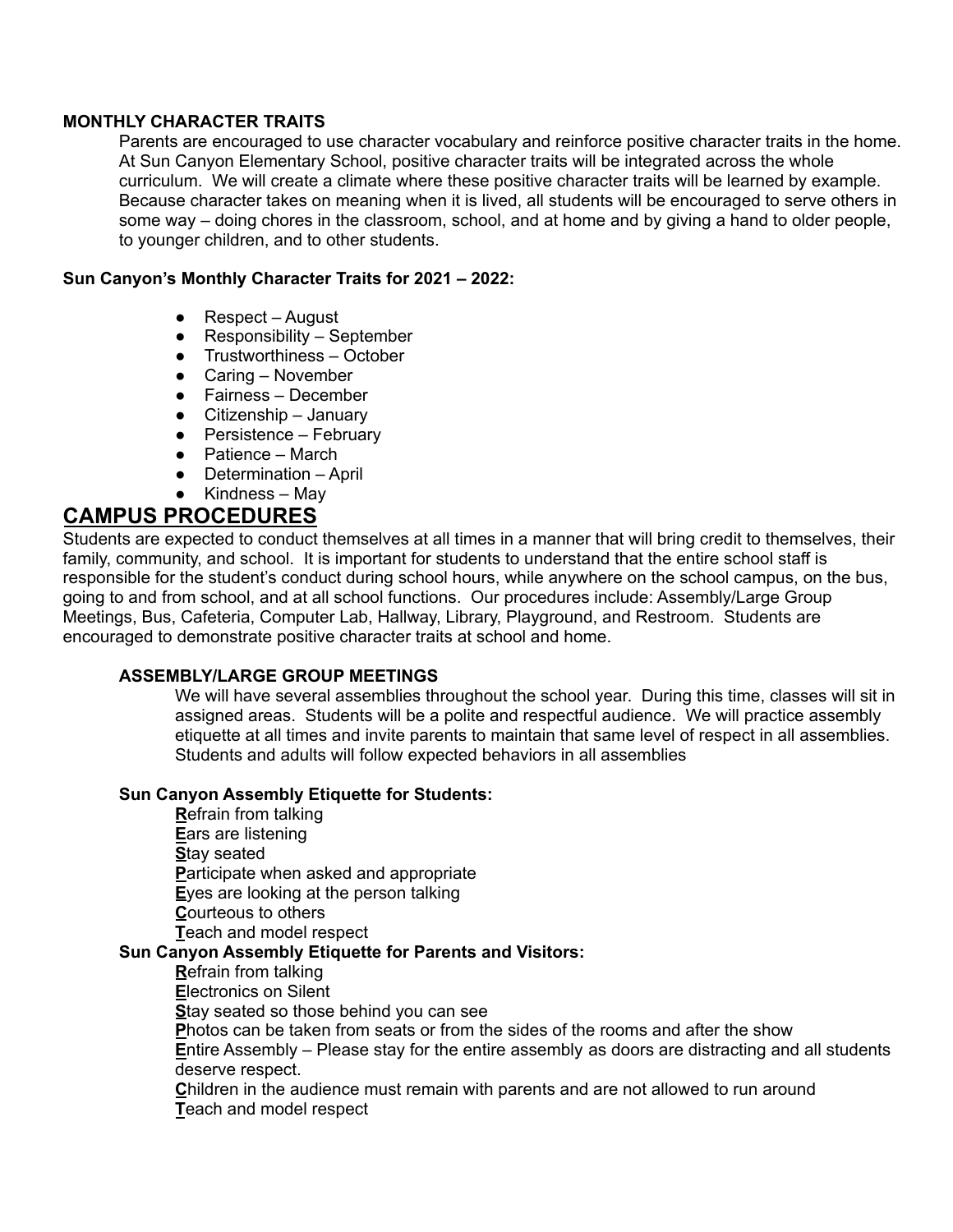#### **MONTHLY CHARACTER TRAITS**

 Parents are encouraged to use character vocabulary and reinforce positive character traits in the home. At Sun Canyon Elementary School, positive character traits will be integrated across the whole curriculum. We will create a climate where these positive character traits will be learned by example. Because character takes on meaning when it is lived, all students will be encouraged to serve others in some way – doing chores in the classroom, school, and at home and by giving a hand to older people, to younger children, and to other students.

#### **Sun Canyon's Monthly Character Traits for 2021 – 2022:**

- Respect August
- Responsibility September
- Trustworthiness October
- Caring November
- Fairness December
- Citizenship January
- Persistence February
- Patience March
- Determination April
- Kindness May

### **CAMPUS PROCEDURES**

 Students are expected to conduct themselves at all times in a manner that will bring credit to themselves, their family, community, and school. It is important for students to understand that the entire school staff is responsible for the student's conduct during school hours, while anywhere on the school campus, on the bus, going to and from school, and at all school functions. Our procedures include: Assembly/Large Group Meetings, Bus, Cafeteria, Computer Lab, Hallway, Library, Playground, and Restroom. Students are encouraged to demonstrate positive character traits at school and home.

#### **ASSEMBLY/LARGE GROUP MEETINGS**

 We will have several assemblies throughout the school year. During this time, classes will sit in assigned areas. Students will be a polite and respectful audience. We will practice assembly etiquette at all times and invite parents to maintain that same level of respect in all assemblies. Students and adults will follow expected behaviors in all assemblies

#### **Sun Canyon Assembly Etiquette for Students:**

 **R**efrain from talking **E**ars are listening **P**articipate when asked and appropriate **E**yes are looking at the person talking **C**ourteous to others **T**each and model respect  **Sun Canyon Assembly Etiquette for Parents and Visitors: S**tay seated

#### **R**efrain from talking

**E**lectronics on Silent

**S**tay seated so those behind you can see

**P**hotos can be taken from seats or from the sides of the rooms and after the show

 **E**ntire Assembly – Please stay for the entire assembly as doors are distracting and all students deserve respect.

 **C**hildren in the audience must remain with parents and are not allowed to run around **T**each and model respect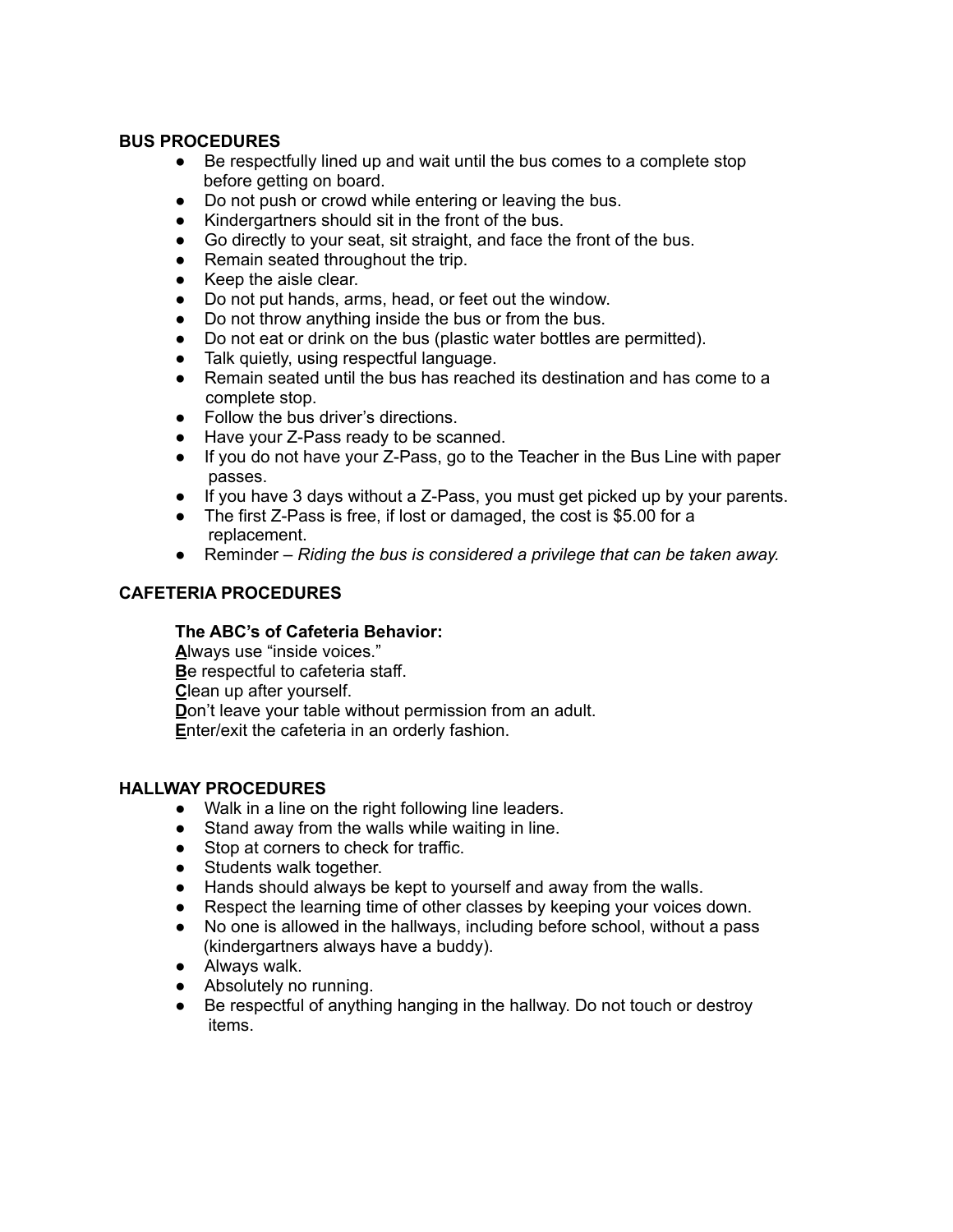#### **BUS PROCEDURES**

- ● Be respectfully lined up and wait until the bus comes to a complete stop before getting on board.
- Do not push or crowd while entering or leaving the bus.
- Kindergartners should sit in the front of the bus.
- Go directly to your seat, sit straight, and face the front of the bus.
- Remain seated throughout the trip.
- Keep the aisle clear.
- Do not put hands, arms, head, or feet out the window.
- Do not throw anything inside the bus or from the bus.
- Do not eat or drink on the bus (plastic water bottles are permitted).
- Talk quietly, using respectful language.
- ● Remain seated until the bus has reached its destination and has come to a complete stop.
- Follow the bus driver's directions.
- Have your Z-Pass ready to be scanned.
- ● If you do not have your Z-Pass, go to the Teacher in the Bus Line with paper passes.
- If you have 3 days without a Z-Pass, you must get picked up by your parents.
- ● The first Z-Pass is free, if lost or damaged, the cost is \$5.00 for a replacement.
- Reminder *Riding the bus is considered a privilege that can be taken away.*

#### **CAFETERIA PROCEDURES**

#### **The ABC's of Cafeteria Behavior:**

 **A**lways use "inside voices." **B**e respectful to cafeteria staff. **C**lean up after yourself. **D**on't leave your table without permission from an adult. **E**nter/exit the cafeteria in an orderly fashion.

#### **HALLWAY PROCEDURES**

- Walk in a line on the right following line leaders.
- Stand away from the walls while waiting in line.
- Stop at corners to check for traffic.
- Students walk together.
- Hands should always be kept to yourself and away from the walls.
- Respect the learning time of other classes by keeping your voices down.
- ● No one is allowed in the hallways, including before school, without a pass (kindergartners always have a buddy).
- Always walk.
- Absolutely no running.
- ● Be respectful of anything hanging in the hallway. Do not touch or destroy items.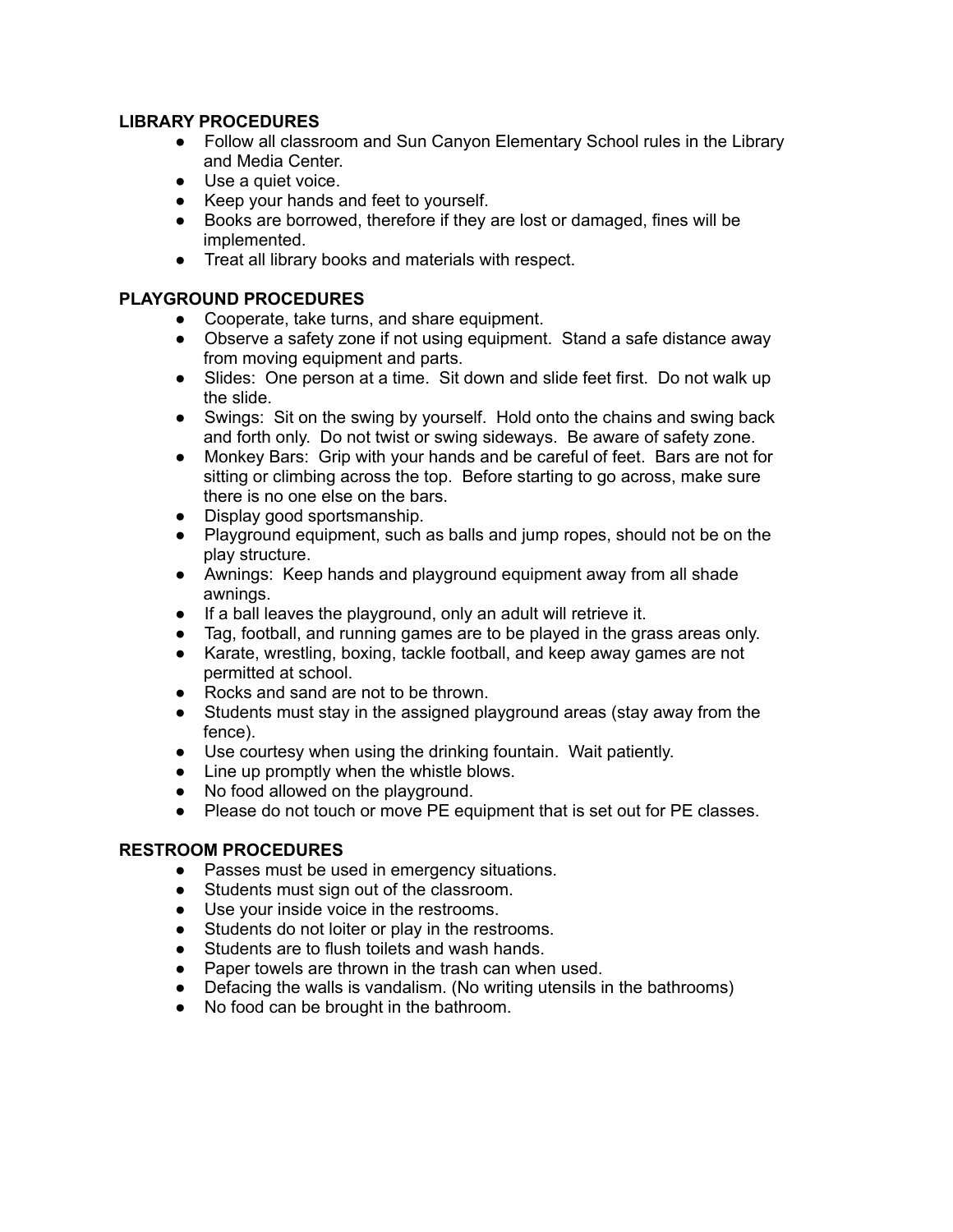#### **LIBRARY PROCEDURES**

- ● Follow all classroom and Sun Canyon Elementary School rules in the Library and Media Center.
- Use a quiet voice.
- Keep your hands and feet to yourself.
- ● Books are borrowed, therefore if they are lost or damaged, fines will be implemented.
- Treat all library books and materials with respect.

#### **PLAYGROUND PROCEDURES**

- Cooperate, take turns, and share equipment.
- ● Observe a safety zone if not using equipment. Stand a safe distance away from moving equipment and parts.
- Slides: One person at a time. Sit down and slide feet first. Do not walk up the slide.
- ● Swings: Sit on the swing by yourself. Hold onto the chains and swing back and forth only. Do not twist or swing sideways. Be aware of safety zone.
- ● Monkey Bars: Grip with your hands and be careful of feet. Bars are not for sitting or climbing across the top. Before starting to go across, make sure there is no one else on the bars.
- Display good sportsmanship.
- ● Playground equipment, such as balls and jump ropes, should not be on the play structure.
- ● Awnings: Keep hands and playground equipment away from all shade awnings.
- If a ball leaves the playground, only an adult will retrieve it.
- Tag, football, and running games are to be played in the grass areas only.
- ● Karate, wrestling, boxing, tackle football, and keep away games are not permitted at school.
- Rocks and sand are not to be thrown.
- ● Students must stay in the assigned playground areas (stay away from the fence).
- Use courtesy when using the drinking fountain. Wait patiently.
- Line up promptly when the whistle blows.
- No food allowed on the playground.
- Please do not touch or move PE equipment that is set out for PE classes.

#### **RESTROOM PROCEDURES**

- Passes must be used in emergency situations.
- Students must sign out of the classroom.
- Use your inside voice in the restrooms.
- Students do not loiter or play in the restrooms.
- Students are to flush toilets and wash hands.
- Paper towels are thrown in the trash can when used.
- Defacing the walls is vandalism. (No writing utensils in the bathrooms)
- No food can be brought in the bathroom.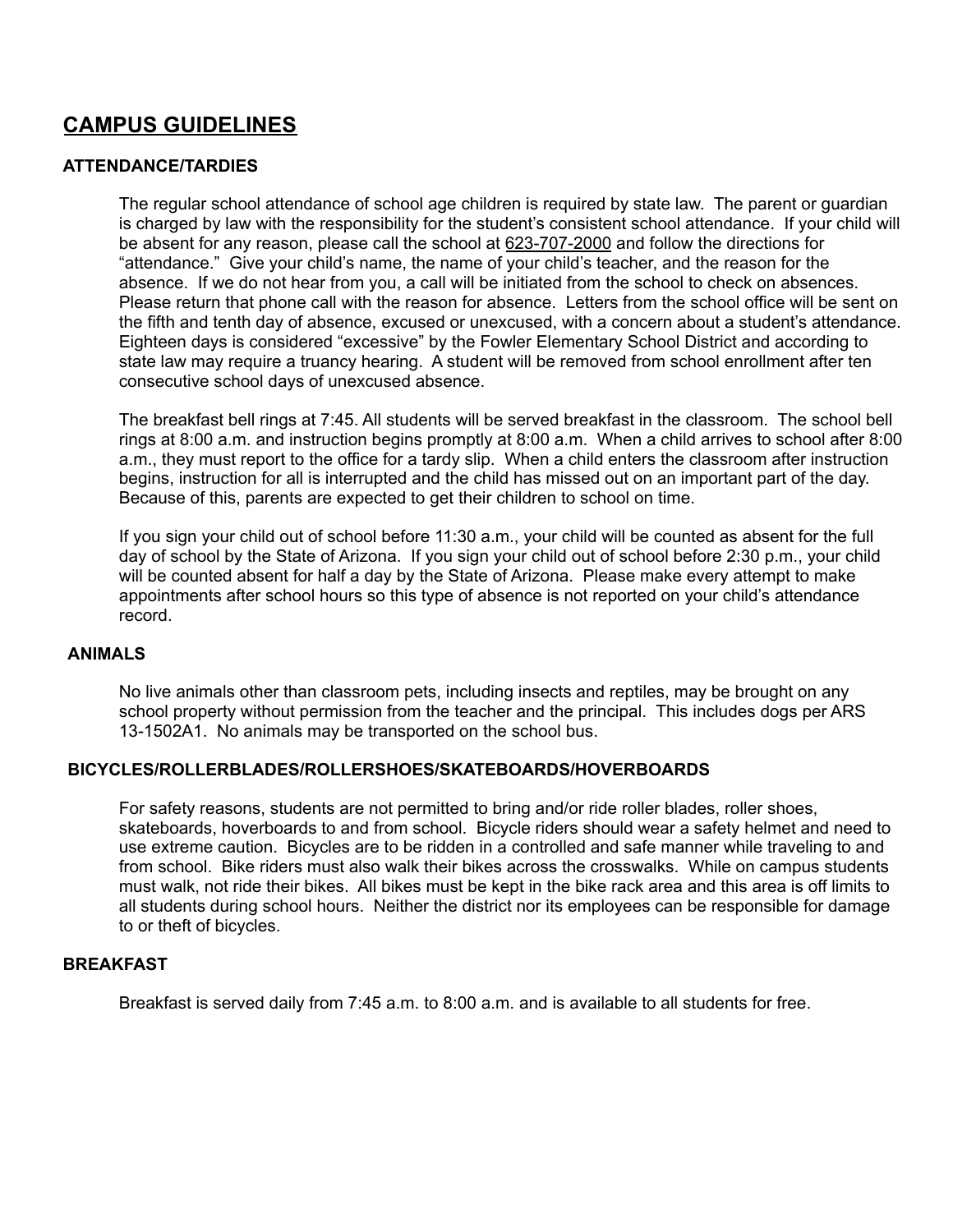### **CAMPUS GUIDELINES**

#### **ATTENDANCE/TARDIES**

 The regular school attendance of school age children is required by state law. The parent or guardian is charged by law with the responsibility for the student's consistent school attendance. If your child will be absent for any reason, please call the school at 623-707-2000 and follow the directions for "attendance." Give your child's name, the name of your child's teacher, and the reason for the absence. If we do not hear from you, a call will be initiated from the school to check on absences. Please return that phone call with the reason for absence. Letters from the school office will be sent on the fifth and tenth day of absence, excused or unexcused, with a concern about a student's attendance. Eighteen days is considered "excessive" by the Fowler Elementary School District and according to state law may require a truancy hearing. A student will be removed from school enrollment after ten consecutive school days of unexcused absence.

 The breakfast bell rings at 7:45. All students will be served breakfast in the classroom. The school bell rings at 8:00 a.m. and instruction begins promptly at 8:00 a.m. When a child arrives to school after 8:00 a.m., they must report to the office for a tardy slip. When a child enters the classroom after instruction begins, instruction for all is interrupted and the child has missed out on an important part of the day. Because of this, parents are expected to get their children to school on time.

 If you sign your child out of school before 11:30 a.m., your child will be counted as absent for the full day of school by the State of Arizona. If you sign your child out of school before 2:30 p.m., your child will be counted absent for half a day by the State of Arizona. Please make every attempt to make appointments after school hours so this type of absence is not reported on your child's attendance record.

#### **ANIMALS**

 No live animals other than classroom pets, including insects and reptiles, may be brought on any school property without permission from the teacher and the principal. This includes dogs per ARS 13-1502A1. No animals may be transported on the school bus.

#### **BICYCLES/ROLLERBLADES/ROLLERSHOES/SKATEBOARDS/HOVERBOARDS**

 For safety reasons, students are not permitted to bring and/or ride roller blades, roller shoes, skateboards, hoverboards to and from school. Bicycle riders should wear a safety helmet and need to use extreme caution. Bicycles are to be ridden in a controlled and safe manner while traveling to and from school. Bike riders must also walk their bikes across the crosswalks. While on campus students must walk, not ride their bikes. All bikes must be kept in the bike rack area and this area is off limits to all students during school hours. Neither the district nor its employees can be responsible for damage to or theft of bicycles.

#### **BREAKFAST**

Breakfast is served daily from 7:45 a.m. to 8:00 a.m. and is available to all students for free.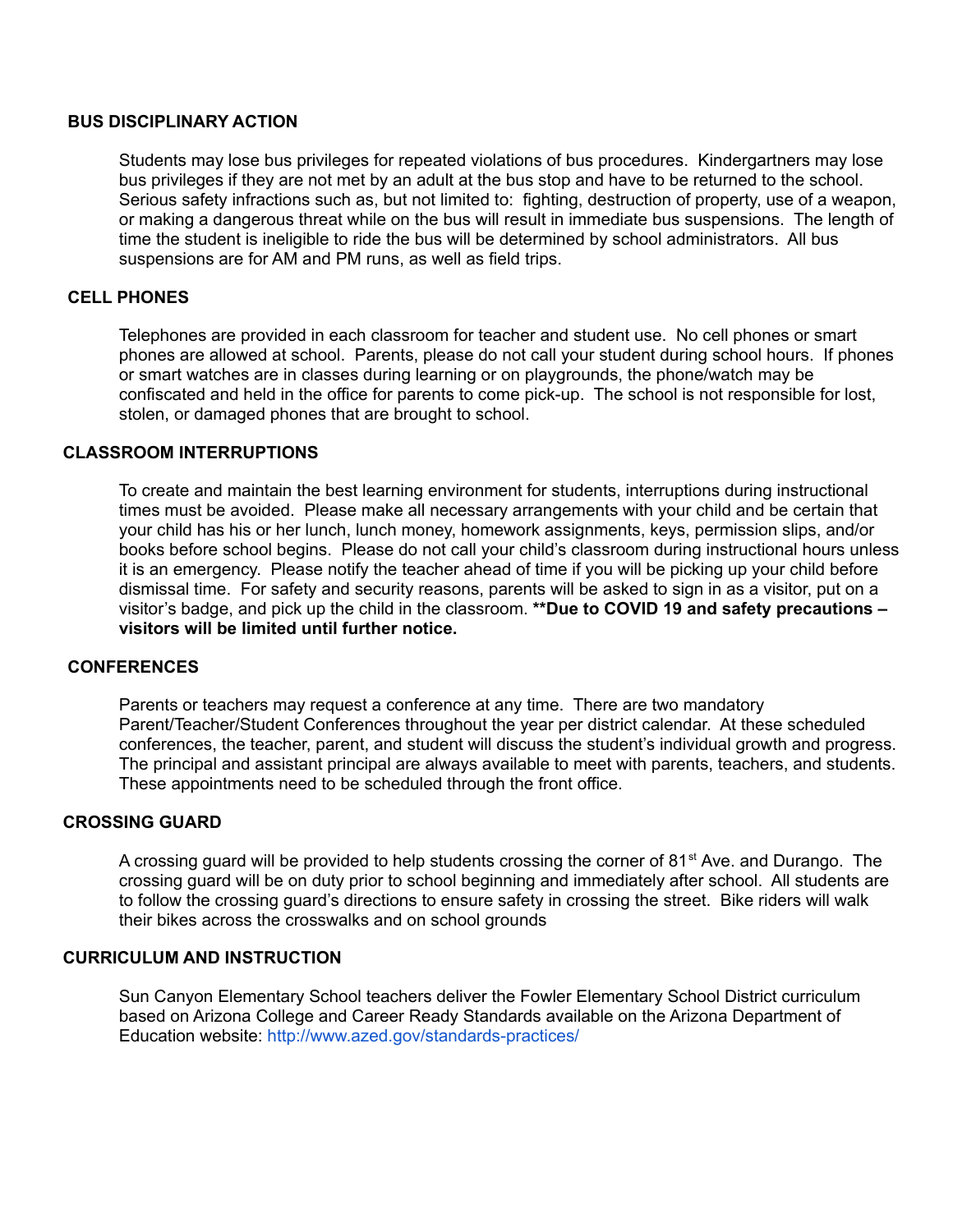#### **BUS DISCIPLINARY ACTION**

 Students may lose bus privileges for repeated violations of bus procedures. Kindergartners may lose bus privileges if they are not met by an adult at the bus stop and have to be returned to the school. Serious safety infractions such as, but not limited to: fighting, destruction of property, use of a weapon, or making a dangerous threat while on the bus will result in immediate bus suspensions. The length of time the student is ineligible to ride the bus will be determined by school administrators. All bus suspensions are for AM and PM runs, as well as field trips.

#### **CELL PHONES**

 Telephones are provided in each classroom for teacher and student use. No cell phones or smart phones are allowed at school. Parents, please do not call your student during school hours. If phones or smart watches are in classes during learning or on playgrounds, the phone/watch may be confiscated and held in the office for parents to come pick-up. The school is not responsible for lost, stolen, or damaged phones that are brought to school.

#### **CLASSROOM INTERRUPTIONS**

 To create and maintain the best learning environment for students, interruptions during instructional times must be avoided. Please make all necessary arrangements with your child and be certain that your child has his or her lunch, lunch money, homework assignments, keys, permission slips, and/or books before school begins. Please do not call your child's classroom during instructional hours unless it is an emergency. Please notify the teacher ahead of time if you will be picking up your child before dismissal time. For safety and security reasons, parents will be asked to sign in as a visitor, put on a visitor's badge, and pick up the child in the classroom. **\*\*Due to COVID 19 and safety precautions – visitors will be limited until further notice.**

#### **CONFERENCES**

 Parents or teachers may request a conference at any time. There are two mandatory Parent/Teacher/Student Conferences throughout the year per district calendar. At these scheduled conferences, the teacher, parent, and student will discuss the student's individual growth and progress. The principal and assistant principal are always available to meet with parents, teachers, and students. These appointments need to be scheduled through the front office.

#### **CROSSING GUARD**

A crossing guard will be provided to help students crossing the corner of 81<sup>st</sup> Ave. and Durango. The crossing guard will be on duty prior to school beginning and immediately after school. All students are to follow the crossing guard's directions to ensure safety in crossing the street. Bike riders will walk their bikes across the crosswalks and on school grounds

#### **CURRICULUM AND INSTRUCTION**

 Sun Canyon Elementary School teachers deliver the Fowler Elementary School District curriculum based on Arizona College and Career Ready Standards available on the Arizona Department of Education website: <http://www.azed.gov/standards-practices/>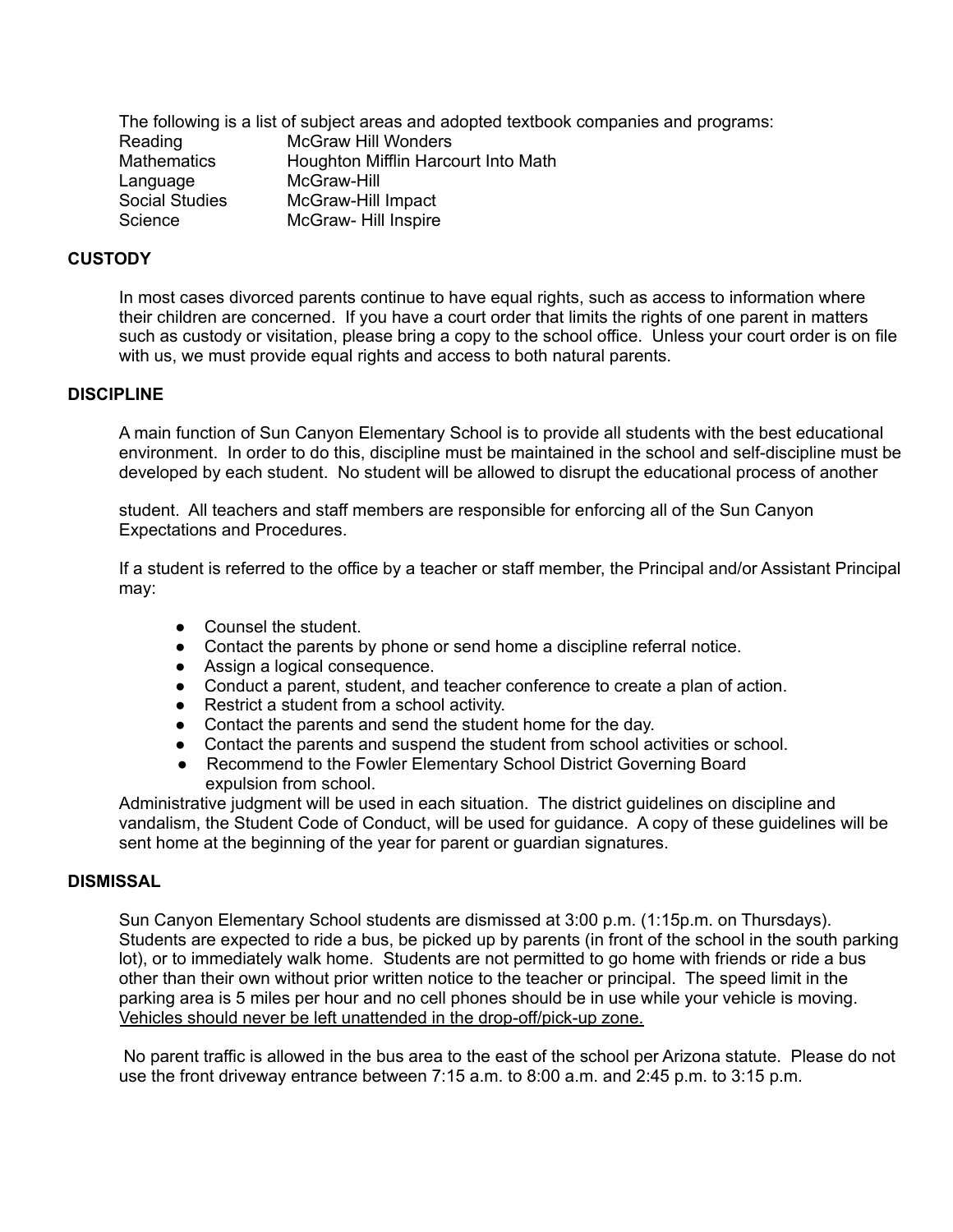The following is a list of subject areas and adopted textbook companies and programs: Mathematics **Houghton Mifflin Harcourt Into Math Social Studies** Reading McGraw Hill Wonders Language McGraw-Hill McGraw-Hill Impact Science McGraw- Hill Inspire

#### **CUSTODY**

 In most cases divorced parents continue to have equal rights, such as access to information where their children are concerned. If you have a court order that limits the rights of one parent in matters such as custody or visitation, please bring a copy to the school office. Unless your court order is on file with us, we must provide equal rights and access to both natural parents.

#### **DISCIPLINE**

 A main function of Sun Canyon Elementary School is to provide all students with the best educational environment. In order to do this, discipline must be maintained in the school and self-discipline must be developed by each student. No student will be allowed to disrupt the educational process of another

 student. All teachers and staff members are responsible for enforcing all of the Sun Canyon Expectations and Procedures.

 If a student is referred to the office by a teacher or staff member, the Principal and/or Assistant Principal may:

- Counsel the student.
- Contact the parents by phone or send home a discipline referral notice.
- Assign a logical consequence.
- Conduct a parent, student, and teacher conference to create a plan of action.
- Restrict a student from a school activity.
- Contact the parents and send the student home for the day.
- Contact the parents and suspend the student from school activities or school.
- ● Recommend to the Fowler Elementary School District Governing Board expulsion from school.

 Administrative judgment will be used in each situation. The district guidelines on discipline and vandalism, the Student Code of Conduct, will be used for guidance. A copy of these guidelines will be sent home at the beginning of the year for parent or guardian signatures.

#### **DISMISSAL**

 Sun Canyon Elementary School students are dismissed at 3:00 p.m. (1:15p.m. on Thursdays). Students are expected to ride a bus, be picked up by parents (in front of the school in the south parking lot), or to immediately walk home. Students are not permitted to go home with friends or ride a bus other than their own without prior written notice to the teacher or principal. The speed limit in the parking area is 5 miles per hour and no cell phones should be in use while your vehicle is moving. Vehicles should never be left unattended in the drop-off/pick-up zone.

 No parent traffic is allowed in the bus area to the east of the school per Arizona statute. Please do not use the front driveway entrance between 7:15 a.m. to 8:00 a.m. and 2:45 p.m. to 3:15 p.m.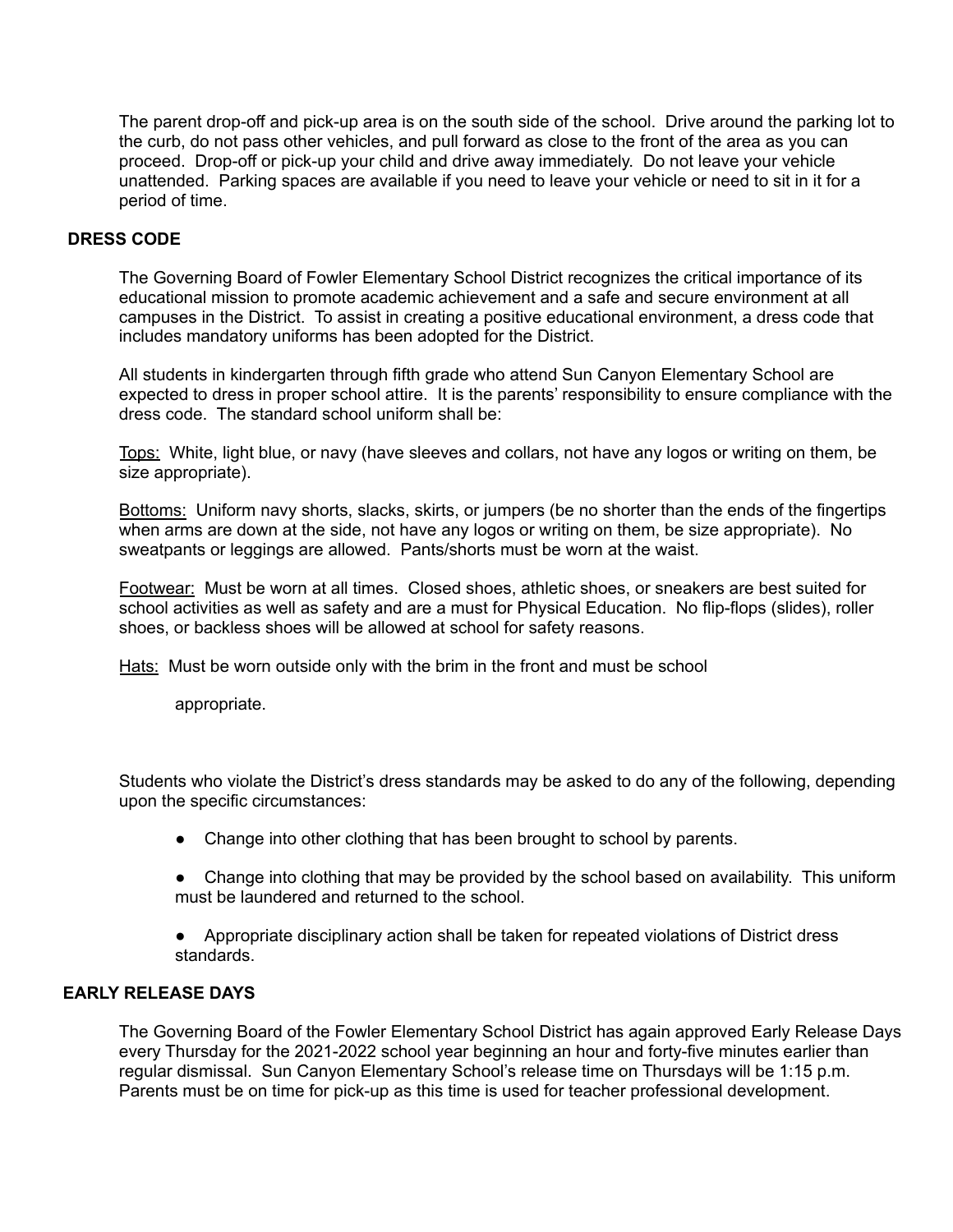The parent drop-off and pick-up area is on the south side of the school. Drive around the parking lot to the curb, do not pass other vehicles, and pull forward as close to the front of the area as you can proceed. Drop-off or pick-up your child and drive away immediately. Do not leave your vehicle unattended. Parking spaces are available if you need to leave your vehicle or need to sit in it for a period of time.

#### **DRESS CODE**

 The Governing Board of Fowler Elementary School District recognizes the critical importance of its educational mission to promote academic achievement and a safe and secure environment at all campuses in the District. To assist in creating a positive educational environment, a dress code that includes mandatory uniforms has been adopted for the District.

 All students in kindergarten through fifth grade who attend Sun Canyon Elementary School are expected to dress in proper school attire. It is the parents' responsibility to ensure compliance with the dress code. The standard school uniform shall be:

Tops: White, light blue, or navy (have sleeves and collars, not have any logos or writing on them, be size appropriate).

Bottoms: Uniform navy shorts, slacks, skirts, or jumpers (be no shorter than the ends of the fingertips when arms are down at the side, not have any logos or writing on them, be size appropriate). No sweatpants or leggings are allowed. Pants/shorts must be worn at the waist.

Footwear: Must be worn at all times. Closed shoes, athletic shoes, or sneakers are best suited for school activities as well as safety and are a must for Physical Education. No flip-flops (slides), roller shoes, or backless shoes will be allowed at school for safety reasons.

Hats: Must be worn outside only with the brim in the front and must be school

appropriate.

 Students who violate the District's dress standards may be asked to do any of the following, depending upon the specific circumstances:

- Change into other clothing that has been brought to school by parents.
- ● Change into clothing that may be provided by the school based on availability. This uniform must be laundered and returned to the school.

 ● Appropriate disciplinary action shall be taken for repeated violations of District dress standards.

#### **EARLY RELEASE DAYS**

 The Governing Board of the Fowler Elementary School District has again approved Early Release Days every Thursday for the 2021-2022 school year beginning an hour and forty-five minutes earlier than regular dismissal. Sun Canyon Elementary School's release time on Thursdays will be 1:15 p.m. Parents must be on time for pick-up as this time is used for teacher professional development.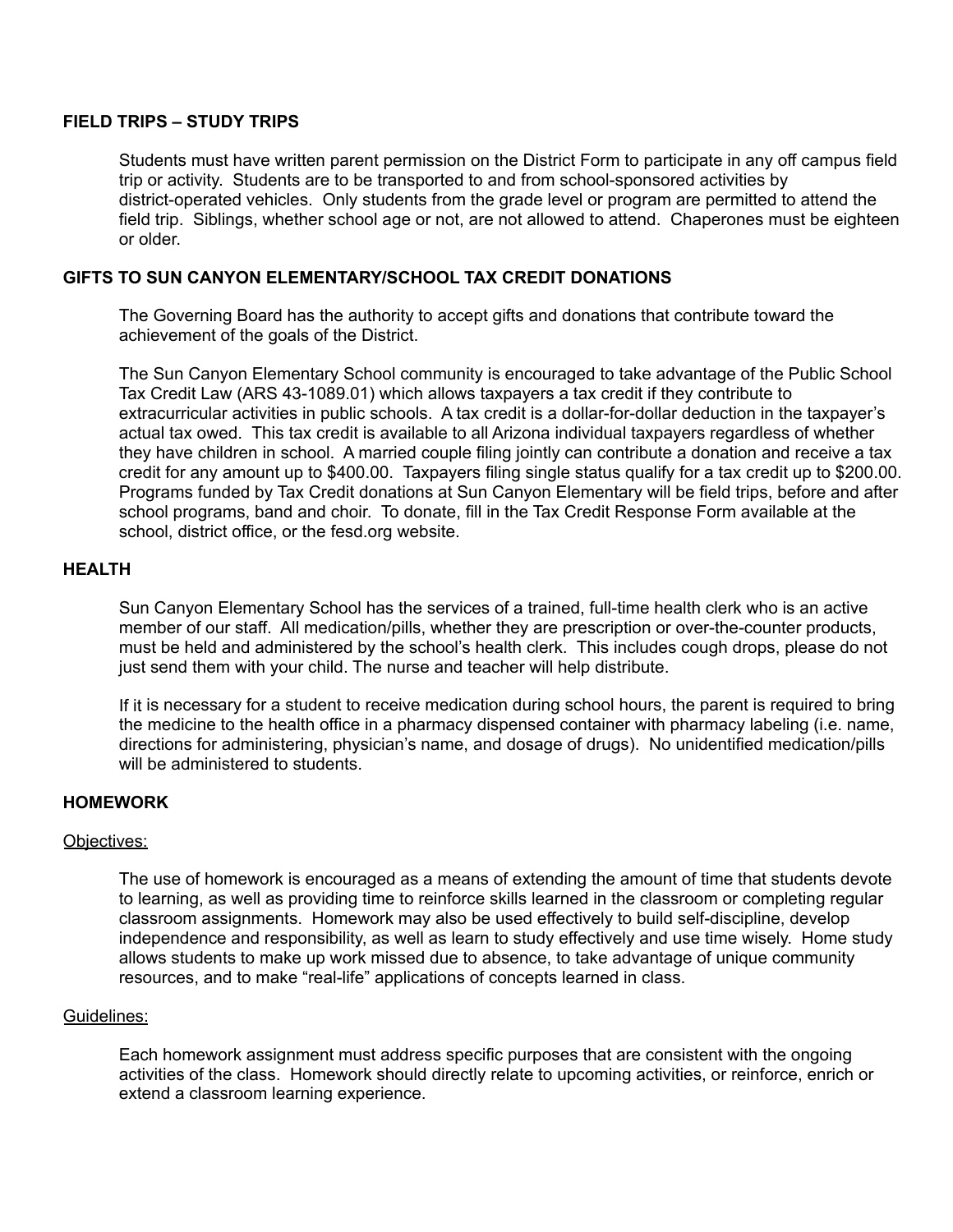#### **FIELD TRIPS – STUDY TRIPS**

 Students must have written parent permission on the District Form to participate in any off campus field trip or activity. Students are to be transported to and from school-sponsored activities by district-operated vehicles. Only students from the grade level or program are permitted to attend the field trip. Siblings, whether school age or not, are not allowed to attend. Chaperones must be eighteen or older.

#### **GIFTS TO SUN CANYON ELEMENTARY/SCHOOL TAX CREDIT DONATIONS**

 The Governing Board has the authority to accept gifts and donations that contribute toward the achievement of the goals of the District.

 Tax Credit Law (ARS 43-1089.01) which allows taxpayers a tax credit if they contribute to extracurricular activities in public schools. A tax credit is a dollar-for-dollar deduction in the taxpayer's actual tax owed. This tax credit is available to all Arizona individual taxpayers regardless of whether they have children in school. A married couple filing jointly can contribute a donation and receive a tax credit for any amount up to \$400.00. Taxpayers filing single status qualify for a tax credit up to \$200.00. Programs funded by Tax Credit donations at Sun Canyon Elementary will be field trips, before and after school programs, band and choir. To donate, fill in the Tax Credit Response Form available at the school, district office, or the [fesd.org](https://fesd.org) website. The Sun Canyon Elementary School community is encouraged to take advantage of the Public School

#### **HEALTH**

 Sun Canyon Elementary School has the services of a trained, full-time health clerk who is an active member of our staff. All medication/pills, whether they are prescription or over-the-counter products, must be held and administered by the school's health clerk. This includes cough drops, please do not just send them with your child. The nurse and teacher will help distribute.

 If it is necessary for a student to receive medication during school hours, the parent is required to bring the medicine to the health office in a pharmacy dispensed container with pharmacy labeling (i.e. name, directions for administering, physician's name, and dosage of drugs). No unidentified medication/pills will be administered to students.

#### **HOMEWORK**

#### Objectives:

 The use of homework is encouraged as a means of extending the amount of time that students devote to learning, as well as providing time to reinforce skills learned in the classroom or completing regular classroom assignments. Homework may also be used effectively to build self-discipline, develop independence and responsibility, as well as learn to study effectively and use time wisely. Home study allows students to make up work missed due to absence, to take advantage of unique community resources, and to make "real-life" applications of concepts learned in class.

#### Guidelines:

 Each homework assignment must address specific purposes that are consistent with the ongoing activities of the class. Homework should directly relate to upcoming activities, or reinforce, enrich or extend a classroom learning experience.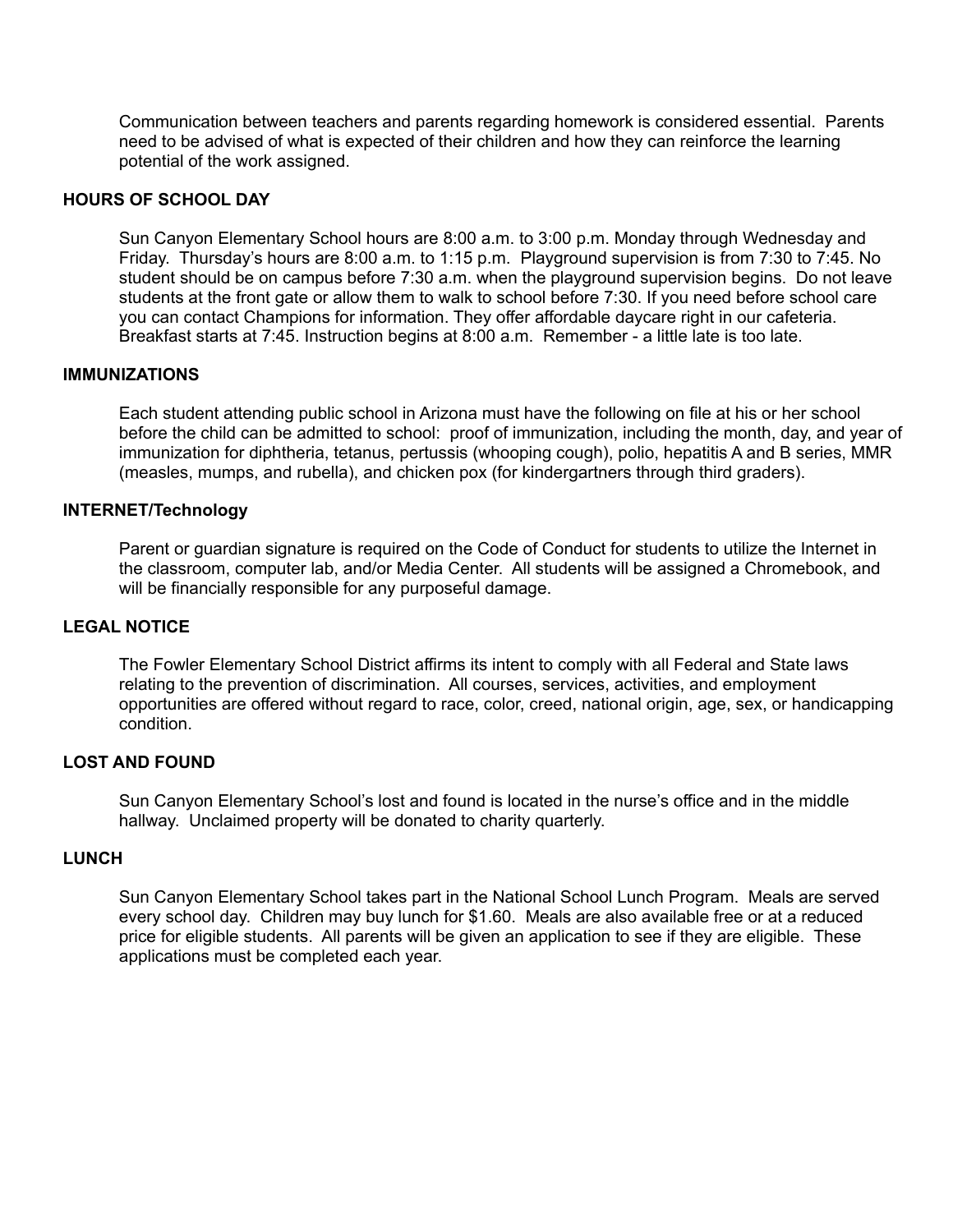Communication between teachers and parents regarding homework is considered essential. Parents need to be advised of what is expected of their children and how they can reinforce the learning potential of the work assigned.

#### **HOURS OF SCHOOL DAY**

 Sun Canyon Elementary School hours are 8:00 a.m. to 3:00 p.m. Monday through Wednesday and Friday. Thursday's hours are 8:00 a.m. to 1:15 p.m. Playground supervision is from 7:30 to 7:45. No student should be on campus before 7:30 a.m. when the playground supervision begins. Do not leave students at the front gate or allow them to walk to school before 7:30. If you need before school care you can contact Champions for information. They offer affordable daycare right in our cafeteria. Breakfast starts at 7:45. Instruction begins at 8:00 a.m. Remember - a little late is too late.

#### **IMMUNIZATIONS**

 Each student attending public school in Arizona must have the following on file at his or her school before the child can be admitted to school: proof of immunization, including the month, day, and year of immunization for diphtheria, tetanus, pertussis (whooping cough), polio, hepatitis A and B series, MMR (measles, mumps, and rubella), and chicken pox (for kindergartners through third graders).

#### **INTERNET/Technology**

 Parent or guardian signature is required on the Code of Conduct for students to utilize the Internet in the classroom, computer lab, and/or Media Center. All students will be assigned a Chromebook, and will be financially responsible for any purposeful damage.

#### **LEGAL NOTICE**

 The Fowler Elementary School District affirms its intent to comply with all Federal and State laws relating to the prevention of discrimination. All courses, services, activities, and employment opportunities are offered without regard to race, color, creed, national origin, age, sex, or handicapping condition.

#### **LOST AND FOUND**

 Sun Canyon Elementary School's lost and found is located in the nurse's office and in the middle hallway. Unclaimed property will be donated to charity quarterly.

#### **LUNCH**

 Sun Canyon Elementary School takes part in the National School Lunch Program. Meals are served every school day. Children may buy lunch for \$1.60. Meals are also available free or at a reduced price for eligible students. All parents will be given an application to see if they are eligible. These applications must be completed each year.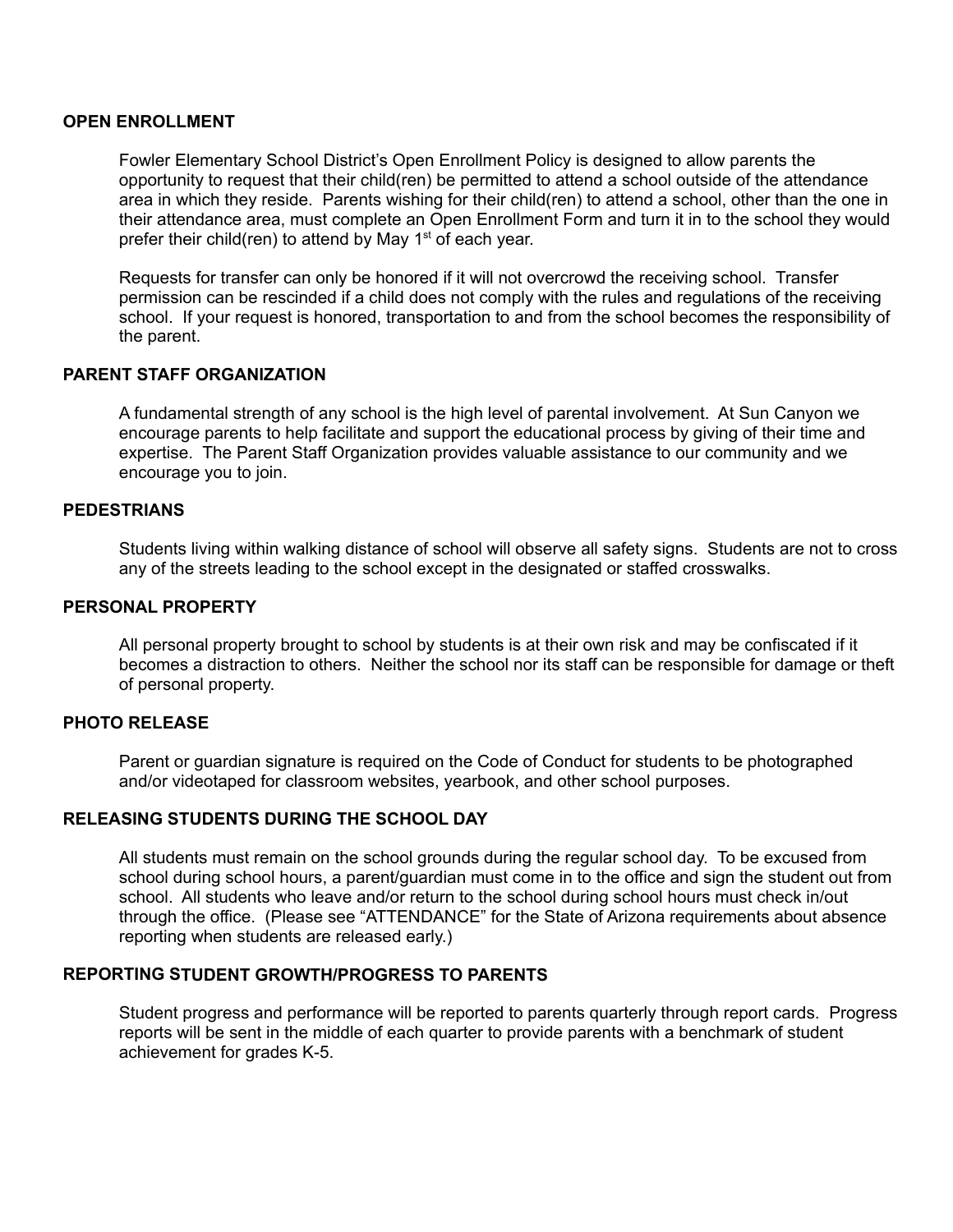#### **OPEN ENROLLMENT**

 Fowler Elementary School District's Open Enrollment Policy is designed to allow parents the opportunity to request that their child(ren) be permitted to attend a school outside of the attendance area in which they reside. Parents wishing for their child(ren) to attend a school, other than the one in their attendance area, must complete an Open Enrollment Form and turn it in to the school they would prefer their child(ren) to attend by May 1<sup>st</sup> of each year.

 Requests for transfer can only be honored if it will not overcrowd the receiving school. Transfer permission can be rescinded if a child does not comply with the rules and regulations of the receiving school. If your request is honored, transportation to and from the school becomes the responsibility of the parent.

#### **PARENT STAFF ORGANIZATION**

 A fundamental strength of any school is the high level of parental involvement. At Sun Canyon we encourage parents to help facilitate and support the educational process by giving of their time and expertise. The Parent Staff Organization provides valuable assistance to our community and we encourage you to join.

#### **PEDESTRIANS**

 Students living within walking distance of school will observe all safety signs. Students are not to cross any of the streets leading to the school except in the designated or staffed crosswalks.

#### **PERSONAL PROPERTY**

 All personal property brought to school by students is at their own risk and may be confiscated if it becomes a distraction to others. Neither the school nor its staff can be responsible for damage or theft of personal property.

#### **PHOTO RELEASE**

 Parent or guardian signature is required on the Code of Conduct for students to be photographed and/or videotaped for classroom websites, yearbook, and other school purposes.

#### **RELEASING STUDENTS DURING THE SCHOOL DAY**

 All students must remain on the school grounds during the regular school day. To be excused from school during school hours, a parent/guardian must come in to the office and sign the student out from school. All students who leave and/or return to the school during school hours must check in/out through the office. (Please see "ATTENDANCE" for the State of Arizona requirements about absence reporting when students are released early.)

#### **REPORTING STUDENT GROWTH/PROGRESS TO PARENTS**

 Student progress and performance will be reported to parents quarterly through report cards. Progress reports will be sent in the middle of each quarter to provide parents with a benchmark of student achievement for grades K-5.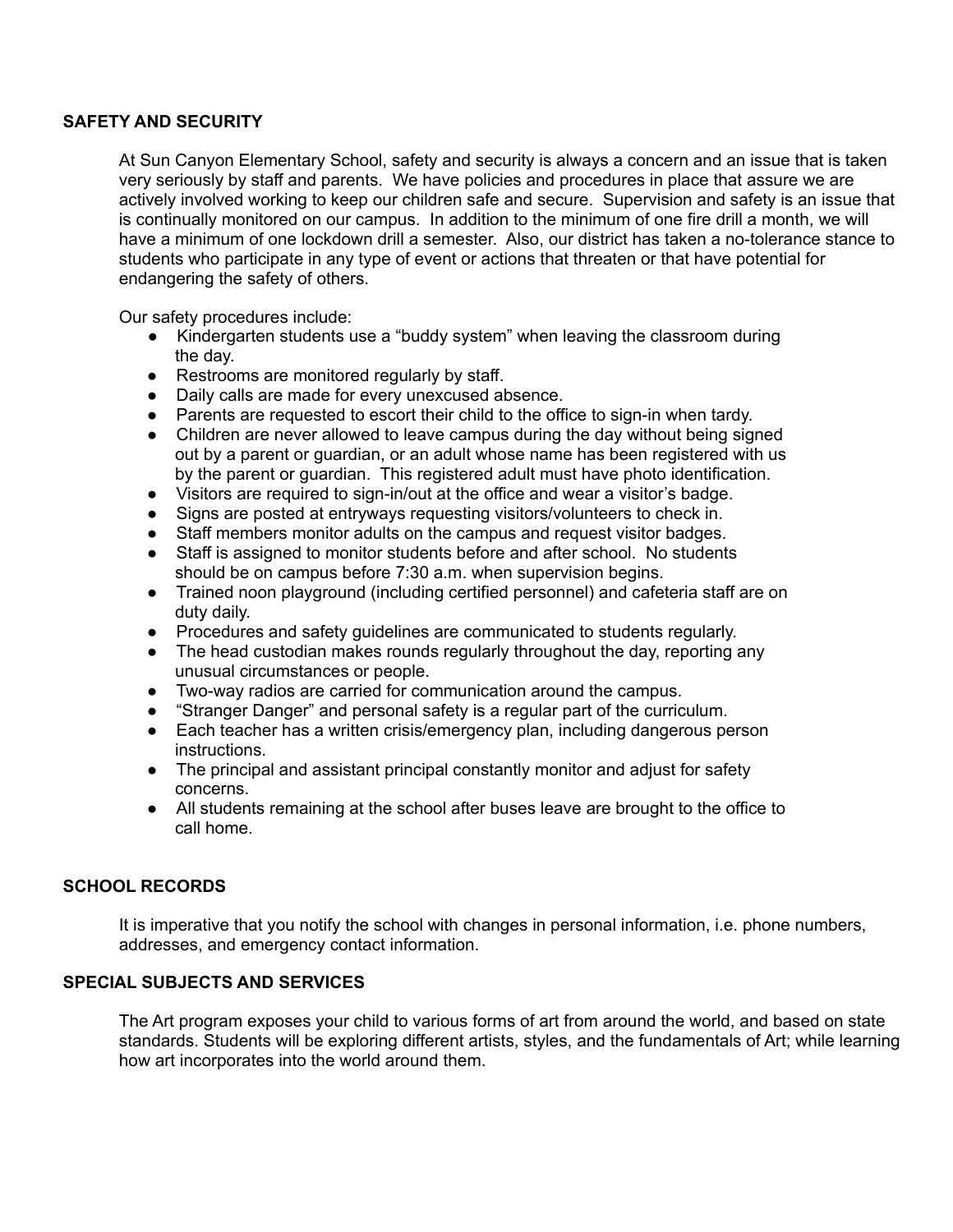#### **SAFETY AND SECURITY**

 At Sun Canyon Elementary School, safety and security is always a concern and an issue that is taken very seriously by staff and parents. We have policies and procedures in place that assure we are actively involved working to keep our children safe and secure. Supervision and safety is an issue that is continually monitored on our campus. In addition to the minimum of one fire drill a month, we will have a minimum of one lockdown drill a semester. Also, our district has taken a no-tolerance stance to students who participate in any type of event or actions that threaten or that have potential for endangering the safety of others.

Our safety procedures include:

- ● Kindergarten students use a "buddy system" when leaving the classroom during the day.
- Restrooms are monitored regularly by staff.
- Daily calls are made for every unexcused absence.
- Parents are requested to escort their child to the office to sign-in when tardy.
- ● Children are never allowed to leave campus during the day without being signed out by a parent or guardian, or an adult whose name has been registered with us by the parent or guardian. This registered adult must have photo identification.
- Visitors are required to sign-in/out at the office and wear a visitor's badge.
- Signs are posted at entryways requesting visitors/volunteers to check in.
- Staff members monitor adults on the campus and request visitor badges.
- Staff is assigned to monitor students before and after school. No students should be on campus before 7:30 a.m. when supervision begins.
- ● Trained noon playground (including certified personnel) and cafeteria staff are on duty daily.
- Procedures and safety guidelines are communicated to students regularly.
- ● The head custodian makes rounds regularly throughout the day, reporting any unusual circumstances or people.
- Two-way radios are carried for communication around the campus.
- "Stranger Danger" and personal safety is a regular part of the curriculum.
- ● Each teacher has a written crisis/emergency plan, including dangerous person instructions.
- ● The principal and assistant principal constantly monitor and adjust for safety concerns.
- ● All students remaining at the school after buses leave are brought to the office to call home.

#### **SCHOOL RECORDS**

 It is imperative that you notify the school with changes in personal information, i.e. phone numbers, addresses, and emergency contact information.

#### **SPECIAL SUBJECTS AND SERVICES**

 The Art program exposes your child to various forms of art from around the world, and based on state standards. Students will be exploring different artists, styles, and the fundamentals of Art; while learning how art incorporates into the world around them.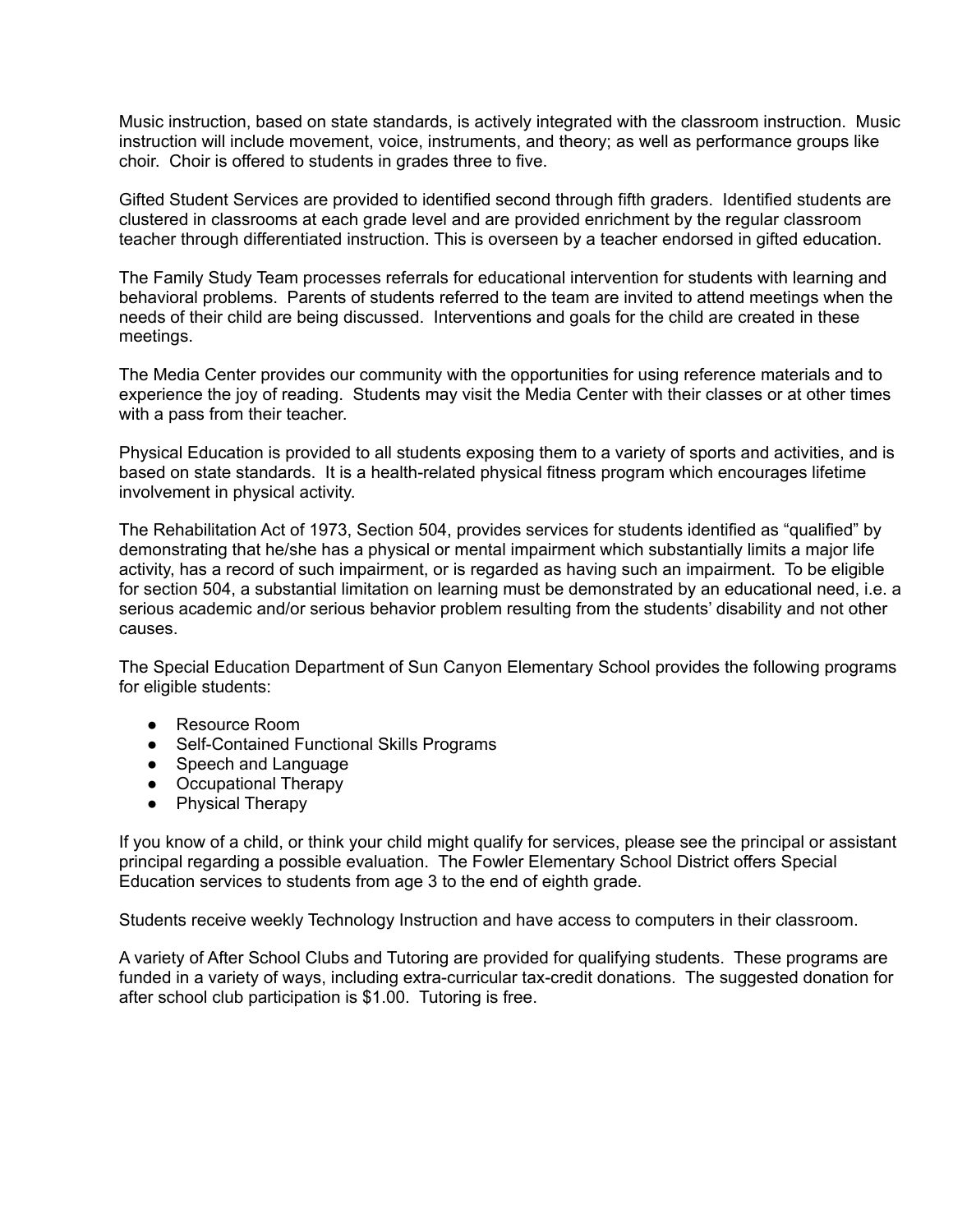Music instruction, based on state standards, is actively integrated with the classroom instruction. Music instruction will include movement, voice, instruments, and theory; as well as performance groups like choir. Choir is offered to students in grades three to five.

 Gifted Student Services are provided to identified second through fifth graders. Identified students are clustered in classrooms at each grade level and are provided enrichment by the regular classroom teacher through differentiated instruction. This is overseen by a teacher endorsed in gifted education.

 The Family Study Team processes referrals for educational intervention for students with learning and behavioral problems. Parents of students referred to the team are invited to attend meetings when the needs of their child are being discussed. Interventions and goals for the child are created in these meetings.

 The Media Center provides our community with the opportunities for using reference materials and to experience the joy of reading. Students may visit the Media Center with their classes or at other times with a pass from their teacher.

 Physical Education is provided to all students exposing them to a variety of sports and activities, and is based on state standards. It is a health-related physical fitness program which encourages lifetime involvement in physical activity.

 The Rehabilitation Act of 1973, Section 504, provides services for students identified as "qualified" by demonstrating that he/she has a physical or mental impairment which substantially limits a major life activity, has a record of such impairment, or is regarded as having such an impairment. To be eligible for section 504, a substantial limitation on learning must be demonstrated by an educational need, i.e. a serious academic and/or serious behavior problem resulting from the students' disability and not other causes.

 The Special Education Department of Sun Canyon Elementary School provides the following programs for eligible students:

- Resource Room
- Self-Contained Functional Skills Programs
- Speech and Language
- Occupational Therapy
- Physical Therapy

 If you know of a child, or think your child might qualify for services, please see the principal or assistant principal regarding a possible evaluation. The Fowler Elementary School District offers Special Education services to students from age 3 to the end of eighth grade.

Students receive weekly Technology Instruction and have access to computers in their classroom.

 A variety of After School Clubs and Tutoring are provided for qualifying students. These programs are funded in a variety of ways, including extra-curricular tax-credit donations. The suggested donation for after school club participation is \$1.00. Tutoring is free.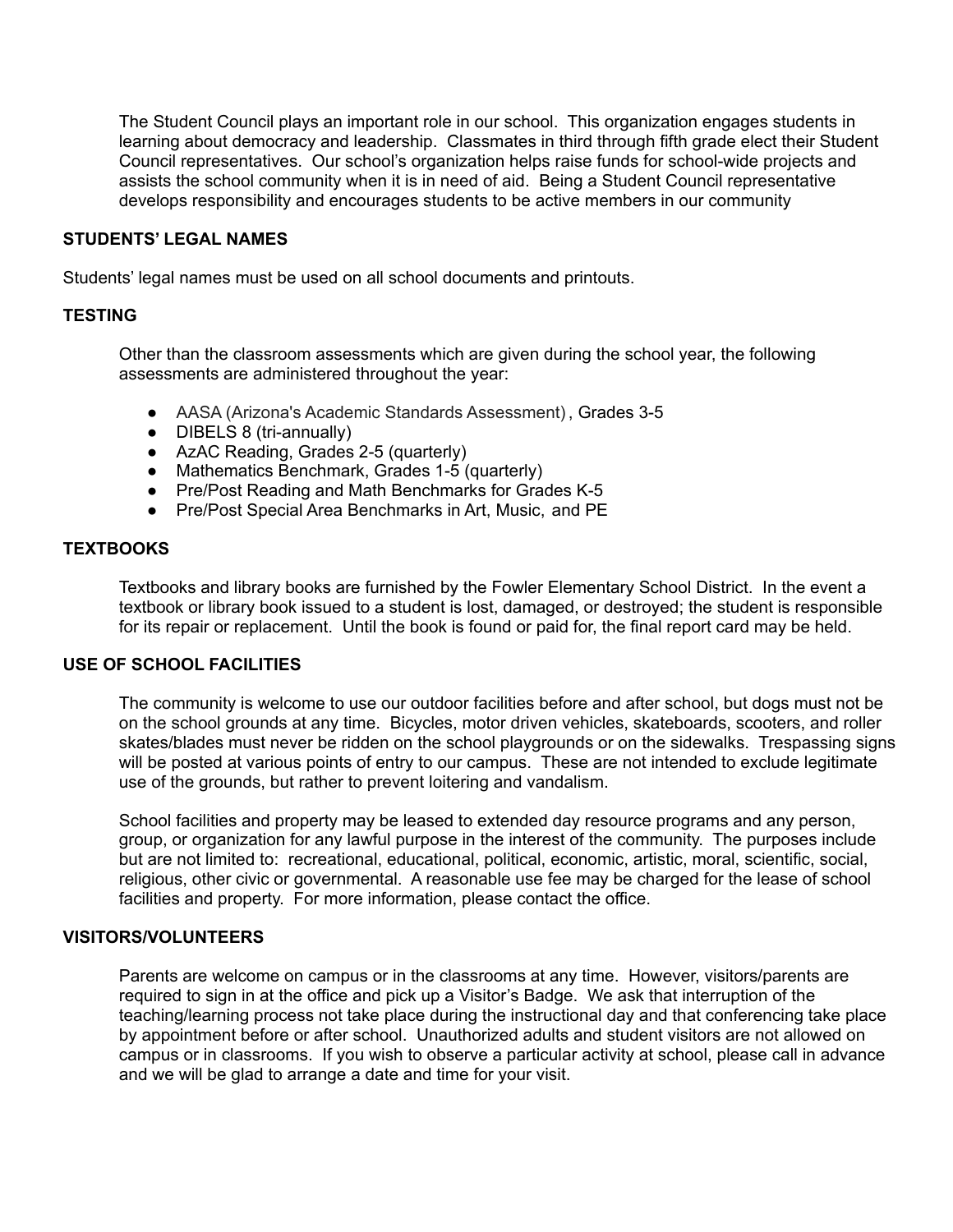The Student Council plays an important role in our school. This organization engages students in learning about democracy and leadership. Classmates in third through fifth grade elect their Student Council representatives. Our school's organization helps raise funds for school-wide projects and assists the school community when it is in need of aid. Being a Student Council representative develops responsibility and encourages students to be active members in our community

#### **STUDENTS' LEGAL NAMES**

Students' legal names must be used on all school documents and printouts.

#### **TESTING**

 Other than the classroom assessments which are given during the school year, the following assessments are administered throughout the year:

- AASA (Arizona's Academic Standards Assessment), Grades 3-5
- DIBELS 8 (tri-annually)
- AzAC Reading, Grades 2-5 (quarterly)
- Mathematics Benchmark, Grades 1-5 (quarterly)
- Pre/Post Reading and Math Benchmarks for Grades K-5
- Pre/Post Special Area Benchmarks in Art, Music, and PE

#### **TEXTBOOKS**

 Textbooks and library books are furnished by the Fowler Elementary School District. In the event a textbook or library book issued to a student is lost, damaged, or destroyed; the student is responsible for its repair or replacement. Until the book is found or paid for, the final report card may be held.

#### **USE OF SCHOOL FACILITIES**

 The community is welcome to use our outdoor facilities before and after school, but dogs must not be on the school grounds at any time. Bicycles, motor driven vehicles, skateboards, scooters, and roller skates/blades must never be ridden on the school playgrounds or on the sidewalks. Trespassing signs will be posted at various points of entry to our campus. These are not intended to exclude legitimate use of the grounds, but rather to prevent loitering and vandalism.

 School facilities and property may be leased to extended day resource programs and any person, group, or organization for any lawful purpose in the interest of the community. The purposes include but are not limited to: recreational, educational, political, economic, artistic, moral, scientific, social, religious, other civic or governmental. A reasonable use fee may be charged for the lease of school facilities and property. For more information, please contact the office.

#### **VISITORS/VOLUNTEERS**

 Parents are welcome on campus or in the classrooms at any time. However, visitors/parents are required to sign in at the office and pick up a Visitor's Badge. We ask that interruption of the teaching/learning process not take place during the instructional day and that conferencing take place by appointment before or after school. Unauthorized adults and student visitors are not allowed on campus or in classrooms. If you wish to observe a particular activity at school, please call in advance and we will be glad to arrange a date and time for your visit.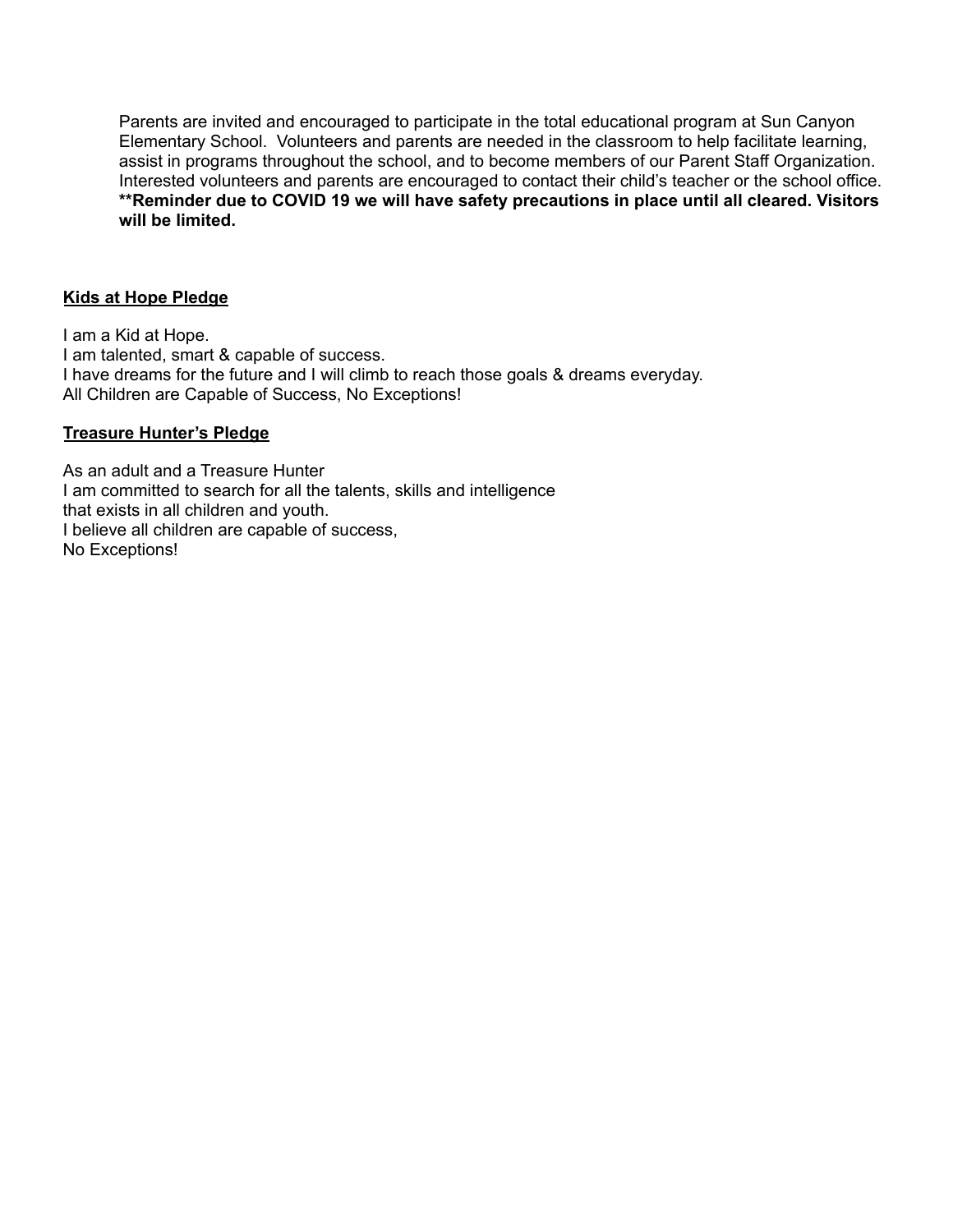Parents are invited and encouraged to participate in the total educational program at Sun Canyon Elementary School. Volunteers and parents are needed in the classroom to help facilitate learning, assist in programs throughout the school, and to become members of our Parent Staff Organization. Interested volunteers and parents are encouraged to contact their child's teacher or the school office.  **\*\*Reminder due to COVID 19 we will have safety precautions in place until all cleared. Visitors will be limited.**

#### **Kids at Hope Pledge**

 I am a Kid at Hope. I have dreams for the future and I will climb to reach those goals & dreams everyday. I am talented, smart & capable of success. All Children are Capable of Success, No Exceptions!

#### **Treasure Hunter's Pledge**

 As an adult and a Treasure Hunter I am committed to search for all the talents, skills and intelligence that exists in all children and youth. I believe all children are capable of success, No Exceptions!